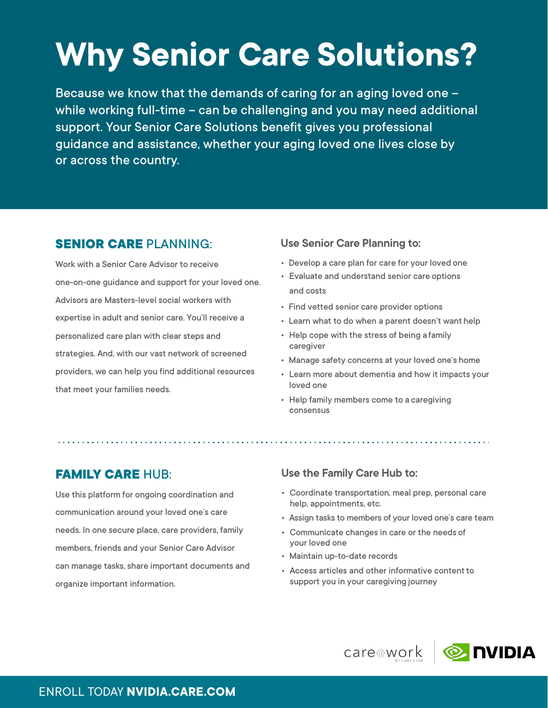# **Why Senior Care Solutions?**

Because we know that the demands of caring for an aging loved one – while working full-time – can be challenging and you may need additional support. Your Senior Care Solutions benefit gives you professional guidance and assistance, whether your aging loved one lives close by or across the country.

## **SENIOR CARE** PLANNING:

Work with a Senior Care Advisor to receive one-on-one guidance and support for your loved one. Advisors are Masters-level social workers with expertise in adult and senior care. You'll receive a personalized care plan with clear steps and strategies. And, with our vast network of screened providers, we can help you find additional resources that meet your families needs.

#### **Use Senior Care Planning to:**

- Develop a care plan for care for your loved one
- Evaluate and understand senior care options and costs
- Find vetted senior care provider options
- Learn what to do when a parent doesn't want help
- Help cope with the stress of being a family caregiver
- Manage safety concerns at your loved one's home
- Learn more about dementia and how it impacts your loved one
- Help family members come to a caregiving consensus

### **FAMILY CARE** HUB:

Use this platform for ongoing coordination and communication around your loved one's care needs. In one secure place, care providers, family members, friends and your Senior Care Advisor can manage tasks, share important documents and organize important information.

#### **Use the Family Care Hub to:**

- Coordinate transportation, meal prep, personal care help, appointments, etc.
- Assign tasks to members of your loved one's care team
- Communicate changes in care or the needs of your loved one
- Maintain up-to-date records
- Access articles and other informative content to support you in your caregiving journey